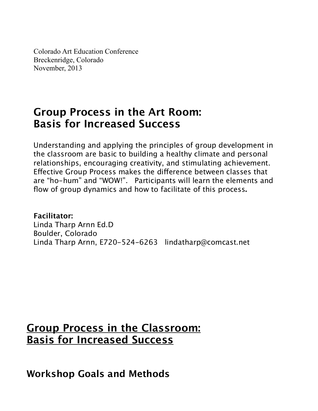Colorado Art Education Conference Breckenridge, Colorado November, 2013

# **Group Process in the Art Room: Basis for Increased Success**

Understanding and applying the principles of group development in the classroom are basic to building a healthy climate and personal relationships, encouraging creativity, and stimulating achievement. Efective Group Process makes the diference between classes that are "ho-hum" and "WOW!". Participants will learn the elements and flow of group dynamics and how to facilitate of this process**.**

**Facilitator:** Linda Tharp Arnn Ed.D Boulder, Colorado Linda Tharp Arnn, E720-524-6263 lindatharp@comcast.net

## **Group Process in the Classroom: Basis for Increased Success**

**Workshop Goals and Methods**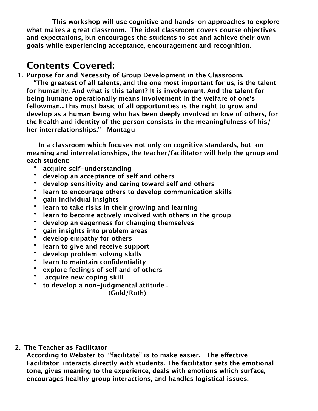**This workshop will use cognitive and hands-on approaches to explore what makes a great classroom. The ideal classroom covers course objectives and expectations, but encourages the students to set and achieve their own goals while experiencing acceptance, encouragement and recognition.**

## **Contents Covered:**

**1. Purpose for and Necessity of Group Development in the Classroom.**

**"The greatest of all talents, and the one most important for us, is the talent for humanity. And what is this talent? It is involvement. And the talent for being humane operationally means involvement in the welfare of one's fellowman...This most basic of all opportunities is the right to grow and develop as a human being who has been deeply involved in love of others, for the health and identity of the person consists in the meaningfulness of his/ her interrelationships." Montagu**

**In a classroom which focuses not only on cognitive standards, but on meaning and interrelationships, the teacher/facilitator will help the group and each student:**

- **acquire self-understanding**
- **develop an acceptance of self and others**
- **develop sensitivity and caring toward self and others**
- **learn to encourage others to develop communication skills**
- **gain individual insights**
- **learn to take risks in their growing and learning**
- **learn to become actively involved with others in the group**
- **develop an eagerness for changing themselves**
- **gain insights into problem areas**
- **develop empathy for others**
- **learn to give and receive support**
- **develop problem solving skills**
- **learn to maintain confidentiality**
- **explore feelings of self and of others**
- • **acquire new coping skill**
- **to develop a non-judgmental attitude .**

**(Gold/Roth)**

#### **2. The Teacher as Facilitator**

**According to Webster to "facilitate" is to make easier. The efective Facilitator interacts directly with students. The facilitator sets the emotional tone, gives meaning to the experience, deals with emotions which surface, encourages healthy group interactions, and handles logistical issues.**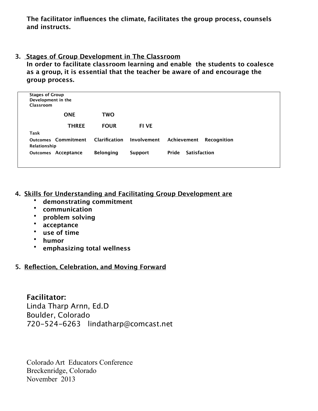**The facilitator influences the climate, facilitates the group process, counsels and instructs.**

#### **3. Stages of Group Development in The Classroom**

**In order to facilitate classroom learning and enable the students to coalesce as a group, it is essential that the teacher be aware of and encourage the group process.** 

| <b>Stages of Group</b><br>Development in the<br>Classroom |                            |                  |                |                                   |
|-----------------------------------------------------------|----------------------------|------------------|----------------|-----------------------------------|
|                                                           | <b>ONE</b>                 | <b>TWO</b>       |                |                                   |
|                                                           | <b>THREE</b>               | <b>FOUR</b>      | <b>FI VE</b>   |                                   |
| Task                                                      |                            |                  |                |                                   |
| Relationship                                              | <b>Outcomes Commitment</b> | Clarification    | Involvement    | Achievement<br><b>Recognition</b> |
|                                                           | <b>Outcomes Acceptance</b> | <b>Belonging</b> | <b>Support</b> | Pride<br><b>Satisfaction</b>      |

#### **4. Skills for Understanding and Facilitating Group Development are**

- **demonstrating commitment**
- **communication**
- **problem solving**
- **acceptance**
- **use of time**
- **humor**
- **emphasizing total wellness**

#### **5. Reflection, Celebration, and Moving Forward**

**Facilitator:** Linda Tharp Arnn, Ed.D Boulder, Colorado 720-524-6263 lindatharp@comcast.net

Colorado Art Educators Conference Breckenridge, Colorado November 2013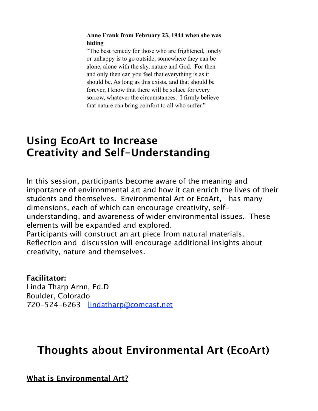#### **Anne Frank from February 23, 1944 when she was hiding**

"The best remedy for those who are frightened, lonely or unhappy is to go outside; somewhere they can be alone, alone with the sky, nature and God. For then and only then can you feel that everything is as it should be. As long as this exists, and that should be forever, I know that there will be solace for every sorrow, whatever the circumstances. I firmly believe that nature can bring comfort to all who suffer."

# **Using EcoArt to Increase Creativity and Self-Understanding**

In this session, participants become aware of the meaning and importance of environmental art and how it can enrich the lives of their students and themselves. Environmental Art or EcoArt, has many dimensions, each of which can encourage creativity, selfunderstanding, and awareness of wider environmental issues. These elements will be expanded and explored. Participants will construct an art piece from natural materials. Reflection and discussion will encourage additional insights about creativity, nature and themselves.

### **Facilitator:**

Linda Tharp Arnn, Ed.D Boulder, Colorado 720-524-6263 [lindatharp@comcast.net](mailto:lindatharp@comcast.net)

## **Thoughts about Environmental Art (EcoArt)**

**What is Environmental Art?**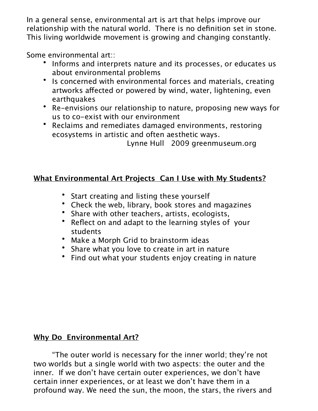In a general sense, environmental art is art that helps improve our relationship with the natural world. There is no definition set in stone. This living worldwide movement is growing and changing constantly.

Some environmental art::

- Informs and interprets nature and its processes, or educates us about environmental problems
- Is concerned with environmental forces and materials, creating artworks afected or powered by wind, water, lightening, even **earthquakes**
- Re-envisions our relationship to nature, proposing new ways for us to co-exist with our environment
- Reclaims and remediates damaged environments, restoring ecosystems in artistic and often aesthetic ways.

Lynne Hull 2009 greenmuseum.org

### **What Environmental Art Projects Can I Use with My Students?**

- Start creating and listing these yourself
- Check the web, library, book stores and magazines
- Share with other teachers, artists, ecologists,
- Reflect on and adapt to the learning styles of your students
- Make a Morph Grid to brainstorm ideas
- Share what you love to create in art in nature
- Find out what your students enjoy creating in nature

### **Why Do Environmental Art?**

"The outer world is necessary for the inner world; they're not two worlds but a single world with two aspects: the outer and the inner. If we don't have certain outer experiences, we don't have certain inner experiences, or at least we don't have them in a profound way. We need the sun, the moon, the stars, the rivers and